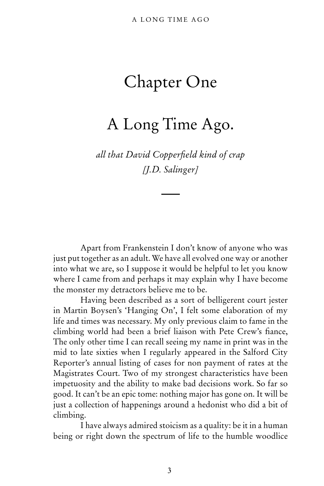## Chapter One

## A Long Time Ago.

*all that David Copperfield kind of crap [J.D. Salinger]*

 Apart from Frankenstein I don't know of anyone who was just put together as an adult. We have all evolved one way or another into what we are, so I suppose it would be helpful to let you know where I came from and perhaps it may explain why I have become the monster my detractors believe me to be.

Having been described as a sort of belligerent court jester in Martin Boysen's 'Hanging On', I felt some elaboration of my life and times was necessary. My only previous claim to fame in the climbing world had been a brief liaison with Pete Crew's fiance, The only other time I can recall seeing my name in print was in the mid to late sixties when I regularly appeared in the Salford City Reporter's annual listing of cases for non payment of rates at the Magistrates Court. Two of my strongest characteristics have been impetuosity and the ability to make bad decisions work. So far so good. It can't be an epic tome: nothing major has gone on. It will be just a collection of happenings around a hedonist who did a bit of climbing.

I have always admired stoicism as a quality: be it in a human being or right down the spectrum of life to the humble woodlice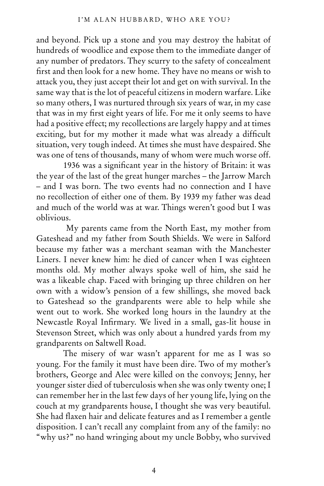and beyond. Pick up a stone and you may destroy the habitat of hundreds of woodlice and expose them to the immediate danger of any number of predators. They scurry to the safety of concealment first and then look for a new home. They have no means or wish to attack you, they just accept their lot and get on with survival. In the same way that is the lot of peaceful citizens in modern warfare. Like so many others, I was nurtured through six years of war, in my case that was in my first eight years of life. For me it only seems to have had a positive effect; my recollections are largely happy and at times exciting, but for my mother it made what was already a difficult situation, very tough indeed. At times she must have despaired. She was one of tens of thousands, many of whom were much worse off.

1936 was a significant year in the history of Britain: it was the year of the last of the great hunger marches – the Jarrow March – and I was born. The two events had no connection and I have no recollection of either one of them. By 1939 my father was dead and much of the world was at war. Things weren't good but I was oblivious.

 My parents came from the North East, my mother from Gateshead and my father from South Shields. We were in Salford because my father was a merchant seaman with the Manchester Liners. I never knew him: he died of cancer when I was eighteen months old. My mother always spoke well of him, she said he was a likeable chap. Faced with bringing up three children on her own with a widow's pension of a few shillings, she moved back to Gateshead so the grandparents were able to help while she went out to work. She worked long hours in the laundry at the Newcastle Royal Infirmary. We lived in a small, gas-lit house in Stevenson Street, which was only about a hundred yards from my grandparents on Saltwell Road.

The misery of war wasn't apparent for me as I was so young. For the family it must have been dire. Two of my mother's brothers, George and Alec were killed on the convoys; Jenny, her younger sister died of tuberculosis when she was only twenty one; I can remember her in the last few days of her young life, lying on the couch at my grandparents house, I thought she was very beautiful. She had flaxen hair and delicate features and as I remember a gentle disposition. I can't recall any complaint from any of the family: no "why us?" no hand wringing about my uncle Bobby, who survived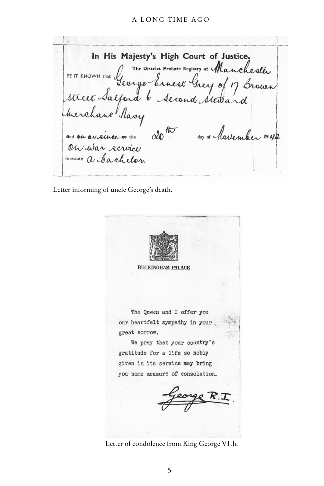## A LONG TIME AGO

In His Majesty's High Court of Justice. The District Probate Registry at Manchesles BE IT KNOWN that George Ernest Registry at Manchester herchane Ravy 20th day of hovember 1942 died on or since on the On war service Intestate a Cachelor.

Letter informing of uncle George's death.



**BUCKINGHAM PALACE** 

The Queen and I offer you our heartfelt sympathy in your great sorrow.

We pray that your country's gratitude for a life so nobly given in its service may bring you some measure of consolation.

Letter of condolence from King George V1th.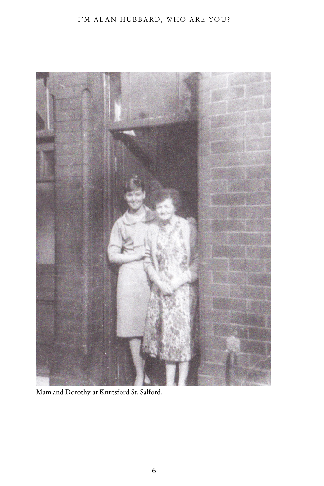## I'M ALAN HUBBARD, WHO ARE YOU?



Mam and Dorothy at Knutsford St. Salford.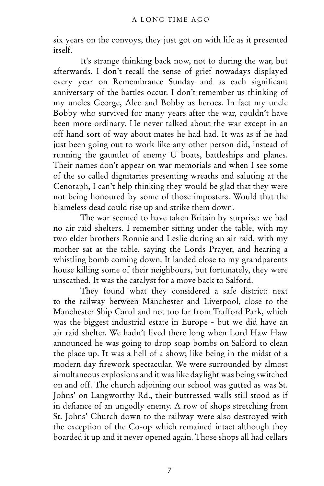six years on the convoys, they just got on with life as it presented itself.

It's strange thinking back now, not to during the war, but afterwards. I don't recall the sense of grief nowadays displayed every year on Remembrance Sunday and as each significant anniversary of the battles occur. I don't remember us thinking of my uncles George, Alec and Bobby as heroes. In fact my uncle Bobby who survived for many years after the war, couldn't have been more ordinary. He never talked about the war except in an off hand sort of way about mates he had had. It was as if he had just been going out to work like any other person did, instead of running the gauntlet of enemy U boats, battleships and planes. Their names don't appear on war memorials and when I see some of the so called dignitaries presenting wreaths and saluting at the Cenotaph, I can't help thinking they would be glad that they were not being honoured by some of those imposters. Would that the blameless dead could rise up and strike them down.

The war seemed to have taken Britain by surprise: we had no air raid shelters. I remember sitting under the table, with my two elder brothers Ronnie and Leslie during an air raid, with my mother sat at the table, saying the Lords Prayer, and hearing a whistling bomb coming down. It landed close to my grandparents house killing some of their neighbours, but fortunately, they were unscathed. It was the catalyst for a move back to Salford.

They found what they considered a safe district: next to the railway between Manchester and Liverpool, close to the Manchester Ship Canal and not too far from Trafford Park, which was the biggest industrial estate in Europe - but we did have an air raid shelter. We hadn't lived there long when Lord Haw Haw announced he was going to drop soap bombs on Salford to clean the place up. It was a hell of a show; like being in the midst of a modern day firework spectacular. We were surrounded by almost simultaneous explosions and it was like daylight was being switched on and off. The church adjoining our school was gutted as was St. Johns' on Langworthy Rd., their buttressed walls still stood as if in defiance of an ungodly enemy. A row of shops stretching from St. Johns' Church down to the railway were also destroyed with the exception of the Co-op which remained intact although they boarded it up and it never opened again. Those shops all had cellars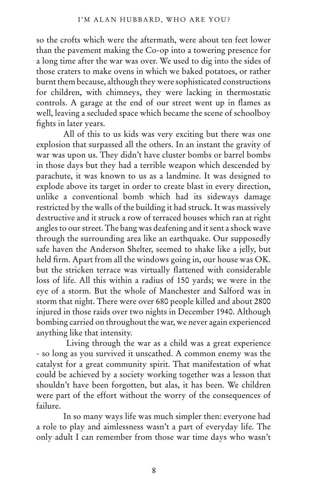so the crofts which were the aftermath, were about ten feet lower than the pavement making the Co-op into a towering presence for a long time after the war was over. We used to dig into the sides of those craters to make ovens in which we baked potatoes, or rather burnt them because, although they were sophisticated constructions for children, with chimneys, they were lacking in thermostatic controls. A garage at the end of our street went up in flames as well, leaving a secluded space which became the scene of schoolboy fights in later years.

All of this to us kids was very exciting but there was one explosion that surpassed all the others. In an instant the gravity of war was upon us. They didn't have cluster bombs or barrel bombs in those days but they had a terrible weapon which descended by parachute, it was known to us as a landmine. It was designed to explode above its target in order to create blast in every direction, unlike a conventional bomb which had its sideways damage restricted by the walls of the building it had struck. It was massively destructive and it struck a row of terraced houses which ran at right angles to our street. The bang was deafening and it sent a shock wave through the surrounding area like an earthquake. Our supposedly safe haven the Anderson Shelter, seemed to shake like a jelly, but held firm. Apart from all the windows going in, our house was OK. but the stricken terrace was virtually flattened with considerable loss of life. All this within a radius of 150 yards; we were in the eye of a storm. But the whole of Manchester and Salford was in storm that night. There were over 680 people killed and about 2800 injured in those raids over two nights in December 1940. Although bombing carried on throughout the war, we never again experienced anything like that intensity.

 Living through the war as a child was a great experience - so long as you survived it unscathed. A common enemy was the catalyst for a great community spirit. That manifestation of what could be achieved by a society working together was a lesson that shouldn't have been forgotten, but alas, it has been. We children were part of the effort without the worry of the consequences of failure.

In so many ways life was much simpler then: everyone had a role to play and aimlessness wasn't a part of everyday life. The only adult I can remember from those war time days who wasn't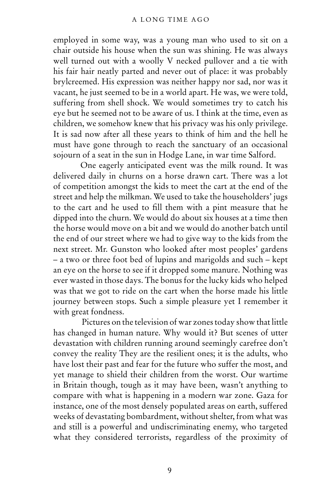employed in some way, was a young man who used to sit on a chair outside his house when the sun was shining. He was always well turned out with a woolly V necked pullover and a tie with his fair hair neatly parted and never out of place: it was probably brylcreemed. His expression was neither happy nor sad, nor was it vacant, he just seemed to be in a world apart. He was, we were told, suffering from shell shock. We would sometimes try to catch his eye but he seemed not to be aware of us. I think at the time, even as children, we somehow knew that his privacy was his only privilege. It is sad now after all these years to think of him and the hell he must have gone through to reach the sanctuary of an occasional sojourn of a seat in the sun in Hodge Lane, in war time Salford.

One eagerly anticipated event was the milk round. It was delivered daily in churns on a horse drawn cart. There was a lot of competition amongst the kids to meet the cart at the end of the street and help the milkman. We used to take the householders' jugs to the cart and he used to fill them with a pint measure that he dipped into the churn. We would do about six houses at a time then the horse would move on a bit and we would do another batch until the end of our street where we had to give way to the kids from the next street. Mr. Gunston who looked after most peoples' gardens – a two or three foot bed of lupins and marigolds and such – kept an eye on the horse to see if it dropped some manure. Nothing was ever wasted in those days. The bonus for the lucky kids who helped was that we got to ride on the cart when the horse made his little journey between stops. Such a simple pleasure yet I remember it with great fondness.

 Pictures on the television of war zones today show that little has changed in human nature. Why would it? But scenes of utter devastation with children running around seemingly carefree don't convey the reality They are the resilient ones; it is the adults, who have lost their past and fear for the future who suffer the most, and yet manage to shield their children from the worst. Our wartime in Britain though, tough as it may have been, wasn't anything to compare with what is happening in a modern war zone. Gaza for instance, one of the most densely populated areas on earth, suffered weeks of devastating bombardment, without shelter, from what was and still is a powerful and undiscriminating enemy, who targeted what they considered terrorists, regardless of the proximity of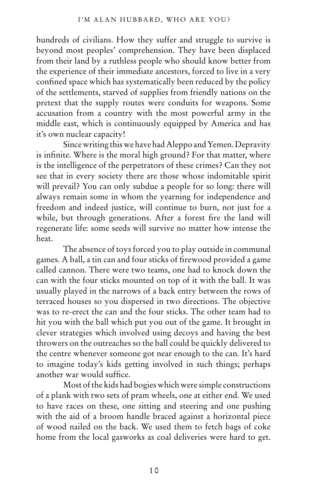hundreds of civilians. How they suffer and struggle to survive is beyond most peoples' comprehension. They have been displaced from their land by a ruthless people who should know better from the experience of their immediate ancestors, forced to live in a very confined space which has systematically been reduced by the policy of the settlements, starved of supplies from friendly nations on the pretext that the supply routes were conduits for weapons. Some accusation from a country with the most powerful army in the middle east, which is continuously equipped by America and has it's own nuclear capacity!

Since writing this we have had Aleppo and Yemen. Depravity is infinite. Where is the moral high ground? For that matter, where is the intelligence of the perpetrators of these crimes? Can they not see that in every society there are those whose indomitable spirit will prevail? You can only subdue a people for so long: there will always remain some in whom the yearning for independence and freedom and indeed justice, will continue to burn, not just for a while, but through generations. After a forest fire the land will regenerate life: some seeds will survive no matter how intense the heat.

The absence of toys forced you to play outside in communal games. A ball, a tin can and four sticks of firewood provided a game called cannon. There were two teams, one had to knock down the can with the four sticks mounted on top of it with the ball. It was usually played in the narrows of a back entry between the rows of terraced houses so you dispersed in two directions. The objective was to re-erect the can and the four sticks. The other team had to hit you with the ball which put you out of the game. It brought in clever strategies which involved using decoys and having the best throwers on the outreaches so the ball could be quickly delivered to the centre whenever someone got near enough to the can. It's hard to imagine today's kids getting involved in such things; perhaps another war would suffice.

Most of the kids had bogies which were simple constructions of a plank with two sets of pram wheels, one at either end. We used to have races on these, one sitting and steering and one pushing with the aid of a broom handle braced against a horizontal piece of wood nailed on the back. We used them to fetch bags of coke home from the local gasworks as coal deliveries were hard to get.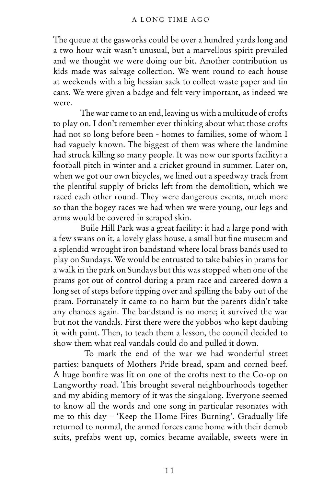The queue at the gasworks could be over a hundred yards long and a two hour wait wasn't unusual, but a marvellous spirit prevailed and we thought we were doing our bit. Another contribution us kids made was salvage collection. We went round to each house at weekends with a big hessian sack to collect waste paper and tin cans. We were given a badge and felt very important, as indeed we were.

The war came to an end, leaving us with a multitude of crofts to play on. I don't remember ever thinking about what those crofts had not so long before been - homes to families, some of whom I had vaguely known. The biggest of them was where the landmine had struck killing so many people. It was now our sports facility: a football pitch in winter and a cricket ground in summer. Later on, when we got our own bicycles, we lined out a speedway track from the plentiful supply of bricks left from the demolition, which we raced each other round. They were dangerous events, much more so than the bogey races we had when we were young, our legs and arms would be covered in scraped skin.

Buile Hill Park was a great facility: it had a large pond with a few swans on it, a lovely glass house, a small but fine museum and a splendid wrought iron bandstand where local brass bands used to play on Sundays. We would be entrusted to take babies in prams for a walk in the park on Sundays but this was stopped when one of the prams got out of control during a pram race and careered down a long set of steps before tipping over and spilling the baby out of the pram. Fortunately it came to no harm but the parents didn't take any chances again. The bandstand is no more; it survived the war but not the vandals. First there were the yobbos who kept daubing it with paint. Then, to teach them a lesson, the council decided to show them what real vandals could do and pulled it down.

 To mark the end of the war we had wonderful street parties: banquets of Mothers Pride bread, spam and corned beef. A huge bonfire was lit on one of the crofts next to the Co-op on Langworthy road. This brought several neighbourhoods together and my abiding memory of it was the singalong. Everyone seemed to know all the words and one song in particular resonates with me to this day - 'Keep the Home Fires Burning'. Gradually life returned to normal, the armed forces came home with their demob suits, prefabs went up, comics became available, sweets were in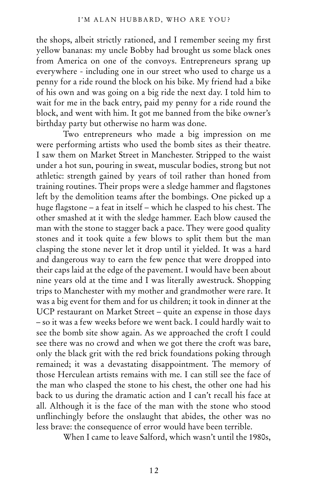the shops, albeit strictly rationed, and I remember seeing my first yellow bananas: my uncle Bobby had brought us some black ones from America on one of the convoys. Entrepreneurs sprang up everywhere - including one in our street who used to charge us a penny for a ride round the block on his bike. My friend had a bike of his own and was going on a big ride the next day. I told him to wait for me in the back entry, paid my penny for a ride round the block, and went with him. It got me banned from the bike owner's birthday party but otherwise no harm was done.

Two entrepreneurs who made a big impression on me were performing artists who used the bomb sites as their theatre. I saw them on Market Street in Manchester. Stripped to the waist under a hot sun, pouring in sweat, muscular bodies, strong but not athletic: strength gained by years of toil rather than honed from training routines. Their props were a sledge hammer and flagstones left by the demolition teams after the bombings. One picked up a huge flagstone – a feat in itself – which he clasped to his chest. The other smashed at it with the sledge hammer. Each blow caused the man with the stone to stagger back a pace. They were good quality stones and it took quite a few blows to split them but the man clasping the stone never let it drop until it yielded. It was a hard and dangerous way to earn the few pence that were dropped into their caps laid at the edge of the pavement. I would have been about nine years old at the time and I was literally awestruck. Shopping trips to Manchester with my mother and grandmother were rare. It was a big event for them and for us children; it took in dinner at the UCP restaurant on Market Street – quite an expense in those days – so it was a few weeks before we went back. I could hardly wait to see the bomb site show again. As we approached the croft I could see there was no crowd and when we got there the croft was bare, only the black grit with the red brick foundations poking through remained; it was a devastating disappointment. The memory of those Herculean artists remains with me. I can still see the face of the man who clasped the stone to his chest, the other one had his back to us during the dramatic action and I can't recall his face at all. Although it is the face of the man with the stone who stood unflinchingly before the onslaught that abides, the other was no less brave: the consequence of error would have been terrible.

When I came to leave Salford, which wasn't until the 1980s,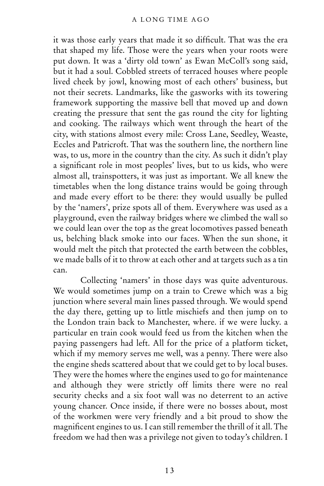it was those early years that made it so difficult. That was the era that shaped my life. Those were the years when your roots were put down. It was a 'dirty old town' as Ewan McColl's song said, but it had a soul. Cobbled streets of terraced houses where people lived cheek by jowl, knowing most of each others' business, but not their secrets. Landmarks, like the gasworks with its towering framework supporting the massive bell that moved up and down creating the pressure that sent the gas round the city for lighting and cooking. The railways which went through the heart of the city, with stations almost every mile: Cross Lane, Seedley, Weaste, Eccles and Patricroft. That was the southern line, the northern line was, to us, more in the country than the city. As such it didn't play a significant role in most peoples' lives, but to us kids, who were almost all, trainspotters, it was just as important. We all knew the timetables when the long distance trains would be going through and made every effort to be there: they would usually be pulled by the 'namers', prize spots all of them. Everywhere was used as a playground, even the railway bridges where we climbed the wall so we could lean over the top as the great locomotives passed beneath us, belching black smoke into our faces. When the sun shone, it would melt the pitch that protected the earth between the cobbles, we made balls of it to throw at each other and at targets such as a tin can.

Collecting 'namers' in those days was quite adventurous. We would sometimes jump on a train to Crewe which was a big junction where several main lines passed through. We would spend the day there, getting up to little mischiefs and then jump on to the London train back to Manchester, where. if we were lucky. a particular en train cook would feed us from the kitchen when the paying passengers had left. All for the price of a platform ticket, which if my memory serves me well, was a penny. There were also the engine sheds scattered about that we could get to by local buses. They were the homes where the engines used to go for maintenance and although they were strictly off limits there were no real security checks and a six foot wall was no deterrent to an active young chancer. Once inside, if there were no bosses about, most of the workmen were very friendly and a bit proud to show the magnificent engines to us. I can still remember the thrill of it all. The freedom we had then was a privilege not given to today's children. I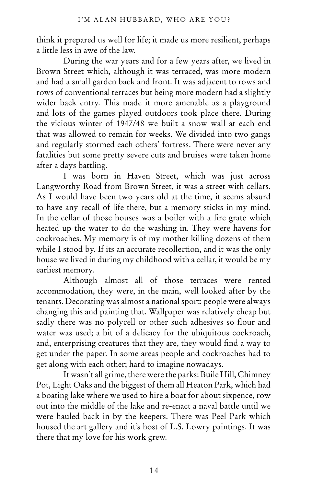think it prepared us well for life; it made us more resilient, perhaps a little less in awe of the law.

During the war years and for a few years after, we lived in Brown Street which, although it was terraced, was more modern and had a small garden back and front. It was adjacent to rows and rows of conventional terraces but being more modern had a slightly wider back entry. This made it more amenable as a playground and lots of the games played outdoors took place there. During the vicious winter of 1947/48 we built a snow wall at each end that was allowed to remain for weeks. We divided into two gangs and regularly stormed each others' fortress. There were never any fatalities but some pretty severe cuts and bruises were taken home after a days battling.

I was born in Haven Street, which was just across Langworthy Road from Brown Street, it was a street with cellars. As I would have been two years old at the time, it seems absurd to have any recall of life there, but a memory sticks in my mind. In the cellar of those houses was a boiler with a fire grate which heated up the water to do the washing in. They were havens for cockroaches. My memory is of my mother killing dozens of them while I stood by. If its an accurate recollection, and it was the only house we lived in during my childhood with a cellar, it would be my earliest memory.

Although almost all of those terraces were rented accommodation, they were, in the main, well looked after by the tenants. Decorating was almost a national sport: people were always changing this and painting that. Wallpaper was relatively cheap but sadly there was no polycell or other such adhesives so flour and water was used; a bit of a delicacy for the ubiquitous cockroach, and, enterprising creatures that they are, they would find a way to get under the paper. In some areas people and cockroaches had to get along with each other; hard to imagine nowadays.

It wasn't all grime, there were the parks: Buile Hill, Chimney Pot, Light Oaks and the biggest of them all Heaton Park, which had a boating lake where we used to hire a boat for about sixpence, row out into the middle of the lake and re-enact a naval battle until we were hauled back in by the keepers. There was Peel Park which housed the art gallery and it's host of L.S. Lowry paintings. It was there that my love for his work grew.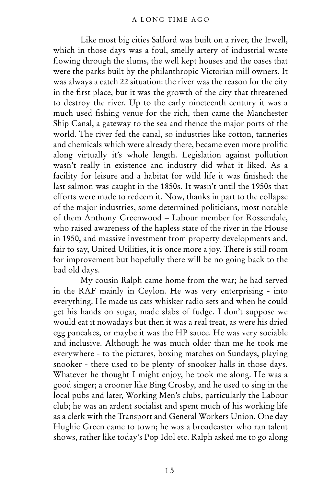Like most big cities Salford was built on a river, the Irwell, which in those days was a foul, smelly artery of industrial waste flowing through the slums, the well kept houses and the oases that were the parks built by the philanthropic Victorian mill owners. It was always a catch 22 situation: the river was the reason for the city in the first place, but it was the growth of the city that threatened to destroy the river. Up to the early nineteenth century it was a much used fishing venue for the rich, then came the Manchester Ship Canal, a gateway to the sea and thence the major ports of the world. The river fed the canal, so industries like cotton, tanneries and chemicals which were already there, became even more prolific along virtually it's whole length. Legislation against pollution wasn't really in existence and industry did what it liked. As a facility for leisure and a habitat for wild life it was finished: the last salmon was caught in the 1850s. It wasn't until the 1950s that efforts were made to redeem it. Now, thanks in part to the collapse of the major industries, some determined politicians, most notable of them Anthony Greenwood – Labour member for Rossendale, who raised awareness of the hapless state of the river in the House in 1950, and massive investment from property developments and, fair to say, United Utilities, it is once more a joy. There is still room for improvement but hopefully there will be no going back to the bad old days.

My cousin Ralph came home from the war; he had served in the RAF mainly in Ceylon. He was very enterprising - into everything. He made us cats whisker radio sets and when he could get his hands on sugar, made slabs of fudge. I don't suppose we would eat it nowadays but then it was a real treat, as were his dried egg pancakes, or maybe it was the HP sauce. He was very sociable and inclusive. Although he was much older than me he took me everywhere - to the pictures, boxing matches on Sundays, playing snooker - there used to be plenty of snooker halls in those days. Whatever he thought I might enjoy, he took me along. He was a good singer; a crooner like Bing Crosby, and he used to sing in the local pubs and later, Working Men's clubs, particularly the Labour club; he was an ardent socialist and spent much of his working life as a clerk with the Transport and General Workers Union. One day Hughie Green came to town; he was a broadcaster who ran talent shows, rather like today's Pop Idol etc. Ralph asked me to go along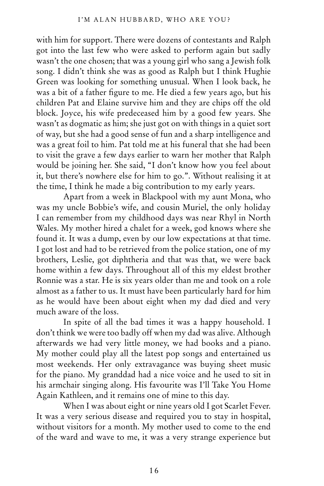with him for support. There were dozens of contestants and Ralph got into the last few who were asked to perform again but sadly wasn't the one chosen; that was a young girl who sang a Jewish folk song. I didn't think she was as good as Ralph but I think Hughie Green was looking for something unusual. When I look back, he was a bit of a father figure to me. He died a few years ago, but his children Pat and Elaine survive him and they are chips off the old block. Joyce, his wife predeceased him by a good few years. She wasn't as dogmatic as him; she just got on with things in a quiet sort of way, but she had a good sense of fun and a sharp intelligence and was a great foil to him. Pat told me at his funeral that she had been to visit the grave a few days earlier to warn her mother that Ralph would be joining her. She said, "I don't know how you feel about it, but there's nowhere else for him to go.". Without realising it at the time, I think he made a big contribution to my early years.

Apart from a week in Blackpool with my aunt Mona, who was my uncle Bobbie's wife, and cousin Muriel, the only holiday I can remember from my childhood days was near Rhyl in North Wales. My mother hired a chalet for a week, god knows where she found it. It was a dump, even by our low expectations at that time. I got lost and had to be retrieved from the police station, one of my brothers, Leslie, got diphtheria and that was that, we were back home within a few days. Throughout all of this my eldest brother Ronnie was a star. He is six years older than me and took on a role almost as a father to us. It must have been particularly hard for him as he would have been about eight when my dad died and very much aware of the loss.

In spite of all the bad times it was a happy household. I don't think we were too badly off when my dad was alive. Although afterwards we had very little money, we had books and a piano. My mother could play all the latest pop songs and entertained us most weekends. Her only extravagance was buying sheet music for the piano. My granddad had a nice voice and he used to sit in his armchair singing along. His favourite was I'll Take You Home Again Kathleen, and it remains one of mine to this day.

When I was about eight or nine years old I got Scarlet Fever. It was a very serious disease and required you to stay in hospital, without visitors for a month. My mother used to come to the end of the ward and wave to me, it was a very strange experience but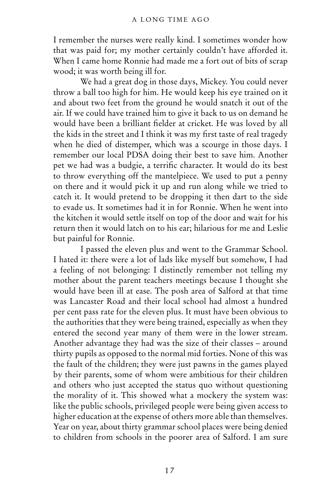I remember the nurses were really kind. I sometimes wonder how that was paid for; my mother certainly couldn't have afforded it. When I came home Ronnie had made me a fort out of bits of scrap wood; it was worth being ill for.

We had a great dog in those days, Mickey. You could never throw a ball too high for him. He would keep his eye trained on it and about two feet from the ground he would snatch it out of the air. If we could have trained him to give it back to us on demand he would have been a brilliant fielder at cricket. He was loved by all the kids in the street and I think it was my first taste of real tragedy when he died of distemper, which was a scourge in those days. I remember our local PDSA doing their best to save him. Another pet we had was a budgie, a terrific character. It would do its best to throw everything off the mantelpiece. We used to put a penny on there and it would pick it up and run along while we tried to catch it. It would pretend to be dropping it then dart to the side to evade us. It sometimes had it in for Ronnie. When he went into the kitchen it would settle itself on top of the door and wait for his return then it would latch on to his ear; hilarious for me and Leslie but painful for Ronnie.

I passed the eleven plus and went to the Grammar School. I hated it: there were a lot of lads like myself but somehow, I had a feeling of not belonging: I distinctly remember not telling my mother about the parent teachers meetings because I thought she would have been ill at ease. The posh area of Salford at that time was Lancaster Road and their local school had almost a hundred per cent pass rate for the eleven plus. It must have been obvious to the authorities that they were being trained, especially as when they entered the second year many of them were in the lower stream. Another advantage they had was the size of their classes – around thirty pupils as opposed to the normal mid forties. None of this was the fault of the children; they were just pawns in the games played by their parents, some of whom were ambitious for their children and others who just accepted the status quo without questioning the morality of it. This showed what a mockery the system was: like the public schools, privileged people were being given access to higher education at the expense of others more able than themselves. Year on year, about thirty grammar school places were being denied to children from schools in the poorer area of Salford. I am sure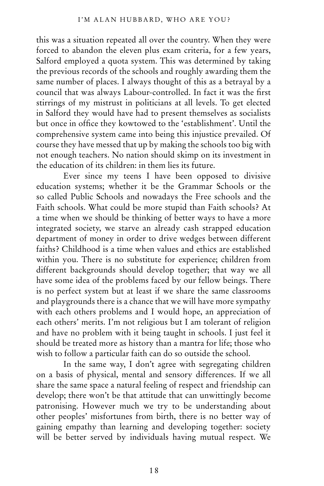this was a situation repeated all over the country. When they were forced to abandon the eleven plus exam criteria, for a few years, Salford employed a quota system. This was determined by taking the previous records of the schools and roughly awarding them the same number of places. I always thought of this as a betrayal by a council that was always Labour-controlled. In fact it was the first stirrings of my mistrust in politicians at all levels. To get elected in Salford they would have had to present themselves as socialists but once in office they kowtowed to the 'establishment'. Until the comprehensive system came into being this injustice prevailed. Of course they have messed that up by making the schools too big with not enough teachers. No nation should skimp on its investment in the education of its children: in them lies its future.

Ever since my teens I have been opposed to divisive education systems; whether it be the Grammar Schools or the so called Public Schools and nowadays the Free schools and the Faith schools. What could be more stupid than Faith schools? At a time when we should be thinking of better ways to have a more integrated society, we starve an already cash strapped education department of money in order to drive wedges between different faiths? Childhood is a time when values and ethics are established within you. There is no substitute for experience; children from different backgrounds should develop together; that way we all have some idea of the problems faced by our fellow beings. There is no perfect system but at least if we share the same classrooms and playgrounds there is a chance that we will have more sympathy with each others problems and I would hope, an appreciation of each others' merits. I'm not religious but I am tolerant of religion and have no problem with it being taught in schools. I just feel it should be treated more as history than a mantra for life; those who wish to follow a particular faith can do so outside the school.

In the same way, I don't agree with segregating children on a basis of physical, mental and sensory differences. If we all share the same space a natural feeling of respect and friendship can develop; there won't be that attitude that can unwittingly become patronising. However much we try to be understanding about other peoples' misfortunes from birth, there is no better way of gaining empathy than learning and developing together: society will be better served by individuals having mutual respect. We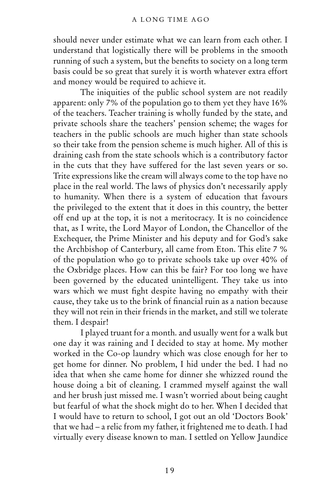should never under estimate what we can learn from each other. I understand that logistically there will be problems in the smooth running of such a system, but the benefits to society on a long term basis could be so great that surely it is worth whatever extra effort and money would be required to achieve it.

The iniquities of the public school system are not readily apparent: only 7% of the population go to them yet they have 16% of the teachers. Teacher training is wholly funded by the state, and private schools share the teachers' pension scheme; the wages for teachers in the public schools are much higher than state schools so their take from the pension scheme is much higher. All of this is draining cash from the state schools which is a contributory factor in the cuts that they have suffered for the last seven years or so. Trite expressions like the cream will always come to the top have no place in the real world. The laws of physics don't necessarily apply to humanity. When there is a system of education that favours the privileged to the extent that it does in this country, the better off end up at the top, it is not a meritocracy. It is no coincidence that, as I write, the Lord Mayor of London, the Chancellor of the Exchequer, the Prime Minister and his deputy and for God's sake the Archbishop of Canterbury, all came from Eton. This elite 7 % of the population who go to private schools take up over 40% of the Oxbridge places. How can this be fair? For too long we have been governed by the educated unintelligent. They take us into wars which we must fight despite having no empathy with their cause, they take us to the brink of financial ruin as a nation because they will not rein in their friends in the market, and still we tolerate them. I despair!

I played truant for a month. and usually went for a walk but one day it was raining and I decided to stay at home. My mother worked in the Co-op laundry which was close enough for her to get home for dinner. No problem, I hid under the bed. I had no idea that when she came home for dinner she whizzed round the house doing a bit of cleaning. I crammed myself against the wall and her brush just missed me. I wasn't worried about being caught but fearful of what the shock might do to her. When I decided that I would have to return to school, I got out an old 'Doctors Book' that we had – a relic from my father, it frightened me to death. I had virtually every disease known to man. I settled on Yellow Jaundice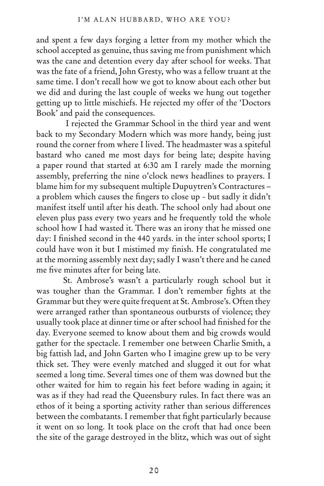and spent a few days forging a letter from my mother which the school accepted as genuine, thus saving me from punishment which was the cane and detention every day after school for weeks. That was the fate of a friend, John Gresty, who was a fellow truant at the same time. I don't recall how we got to know about each other but we did and during the last couple of weeks we hung out together getting up to little mischiefs. He rejected my offer of the 'Doctors Book' and paid the consequences.

 I rejected the Grammar School in the third year and went back to my Secondary Modern which was more handy, being just round the corner from where I lived. The headmaster was a spiteful bastard who caned me most days for being late; despite having a paper round that started at 6:30 am I rarely made the morning assembly, preferring the nine o'clock news headlines to prayers. I blame him for my subsequent multiple Dupuytren's Contractures – a problem which causes the fingers to close up - but sadly it didn't manifest itself until after his death. The school only had about one eleven plus pass every two years and he frequently told the whole school how I had wasted it. There was an irony that he missed one day: I finished second in the 440 yards. in the inter school sports; I could have won it but I mistimed my finish. He congratulated me at the morning assembly next day; sadly I wasn't there and he caned me five minutes after for being late.

St. Ambrose's wasn't a particularly rough school but it was tougher than the Grammar. I don't remember fights at the Grammar but they were quite frequent at St. Ambrose's. Often they were arranged rather than spontaneous outbursts of violence; they usually took place at dinner time or after school had finished for the day. Everyone seemed to know about them and big crowds would gather for the spectacle. I remember one between Charlie Smith, a big fattish lad, and John Garten who I imagine grew up to be very thick set. They were evenly matched and slugged it out for what seemed a long time. Several times one of them was downed but the other waited for him to regain his feet before wading in again; it was as if they had read the Queensbury rules. In fact there was an ethos of it being a sporting activity rather than serious differences between the combatants. I remember that fight particularly because it went on so long. It took place on the croft that had once been the site of the garage destroyed in the blitz, which was out of sight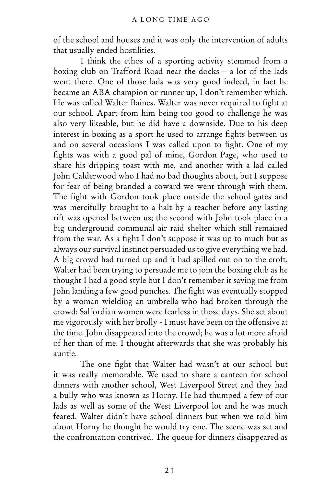of the school and houses and it was only the intervention of adults that usually ended hostilities.

I think the ethos of a sporting activity stemmed from a boxing club on Trafford Road near the docks – a lot of the lads went there. One of those lads was very good indeed, in fact he became an ABA champion or runner up, I don't remember which. He was called Walter Baines. Walter was never required to fight at our school. Apart from him being too good to challenge he was also very likeable, but he did have a downside. Due to his deep interest in boxing as a sport he used to arrange fights between us and on several occasions I was called upon to fight. One of my fights was with a good pal of mine, Gordon Page, who used to share his dripping toast with me, and another with a lad called John Calderwood who I had no bad thoughts about, but I suppose for fear of being branded a coward we went through with them. The fight with Gordon took place outside the school gates and was mercifully brought to a halt by a teacher before any lasting rift was opened between us; the second with John took place in a big underground communal air raid shelter which still remained from the war. As a fight I don't suppose it was up to much but as always our survival instinct persuaded us to give everything we had. A big crowd had turned up and it had spilled out on to the croft. Walter had been trying to persuade me to join the boxing club as he thought I had a good style but I don't remember it saving me from John landing a few good punches. The fight was eventually stopped by a woman wielding an umbrella who had broken through the crowd: Salfordian women were fearless in those days. She set about me vigorously with her brolly - I must have been on the offensive at the time. John disappeared into the crowd; he was a lot more afraid of her than of me. I thought afterwards that she was probably his auntie.

The one fight that Walter had wasn't at our school but it was really memorable. We used to share a canteen for school dinners with another school, West Liverpool Street and they had a bully who was known as Horny. He had thumped a few of our lads as well as some of the West Liverpool lot and he was much feared. Walter didn't have school dinners but when we told him about Horny he thought he would try one. The scene was set and the confrontation contrived. The queue for dinners disappeared as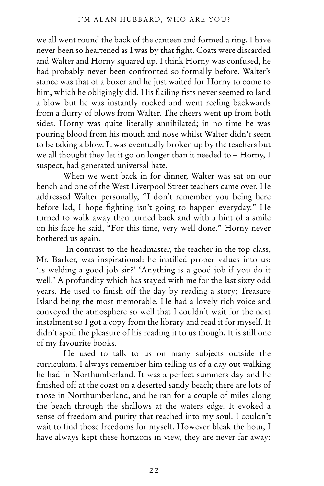we all went round the back of the canteen and formed a ring. I have never been so heartened as I was by that fight. Coats were discarded and Walter and Horny squared up. I think Horny was confused, he had probably never been confronted so formally before. Walter's stance was that of a boxer and he just waited for Horny to come to him, which he obligingly did. His flailing fists never seemed to land a blow but he was instantly rocked and went reeling backwards from a flurry of blows from Walter. The cheers went up from both sides. Horny was quite literally annihilated; in no time he was pouring blood from his mouth and nose whilst Walter didn't seem to be taking a blow. It was eventually broken up by the teachers but we all thought they let it go on longer than it needed to – Horny, I suspect, had generated universal hate.

When we went back in for dinner, Walter was sat on our bench and one of the West Liverpool Street teachers came over. He addressed Walter personally, "I don't remember you being here before lad, I hope fighting isn't going to happen everyday." He turned to walk away then turned back and with a hint of a smile on his face he said, "For this time, very well done." Horny never bothered us again.

 In contrast to the headmaster, the teacher in the top class, Mr. Barker, was inspirational: he instilled proper values into us: 'Is welding a good job sir?' 'Anything is a good job if you do it well.' A profundity which has stayed with me for the last sixty odd years. He used to finish off the day by reading a story; Treasure Island being the most memorable. He had a lovely rich voice and conveyed the atmosphere so well that I couldn't wait for the next instalment so I got a copy from the library and read it for myself. It didn't spoil the pleasure of his reading it to us though. It is still one of my favourite books.

He used to talk to us on many subjects outside the curriculum. I always remember him telling us of a day out walking he had in Northumberland. It was a perfect summers day and he finished off at the coast on a deserted sandy beach; there are lots of those in Northumberland, and he ran for a couple of miles along the beach through the shallows at the waters edge. It evoked a sense of freedom and purity that reached into my soul. I couldn't wait to find those freedoms for myself. However bleak the hour, I have always kept these horizons in view, they are never far away: